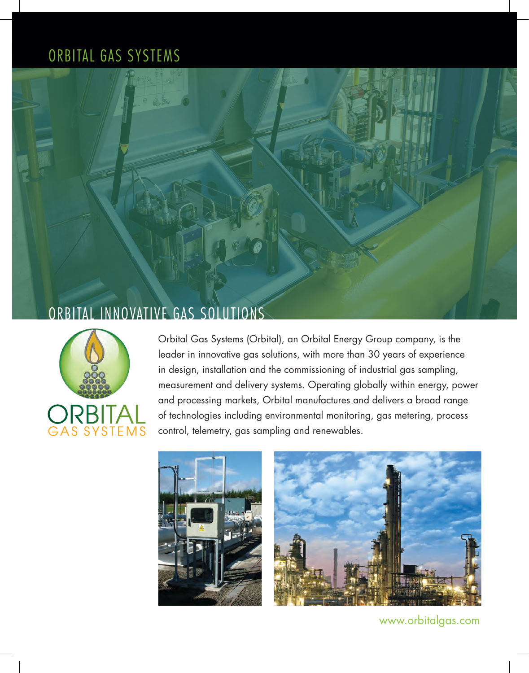## ORBITAL GAS SYSTEMS





Orbital Gas Systems (Orbital), an Orbital Energy Group company, is the leader in innovative gas solutions, with more than 30 years of experience in design, installation and the commissioning of industrial gas sampling, measurement and delivery systems. Operating globally within energy, power and processing markets, Orbital manufactures and delivers a broad range of technologies including environmental monitoring, gas metering, process control, telemetry, gas sampling and renewables.



www.orbitalgas.com